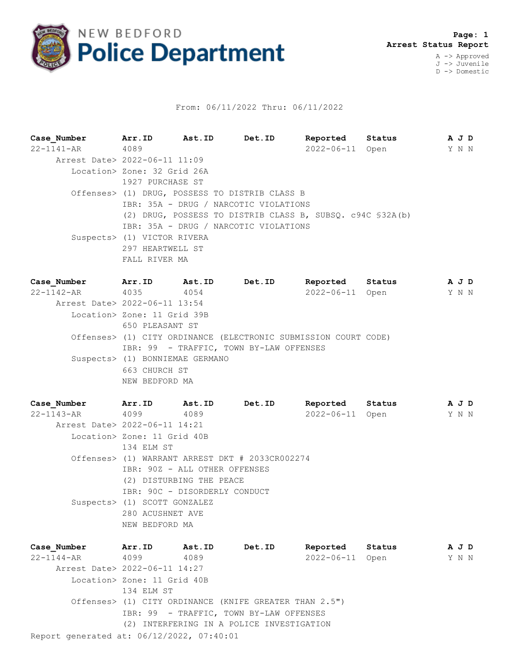

## From: 06/11/2022 Thru: 06/11/2022

**Case\_Number Arr.ID Ast.ID Det.ID Reported Status A J D** 22-1141-AR 4089 2022-06-11 Open Y N N Arrest Date> 2022-06-11 11:09 Location> Zone: 32 Grid 26A 1927 PURCHASE ST Offenses> (1) DRUG, POSSESS TO DISTRIB CLASS B IBR: 35A - DRUG / NARCOTIC VIOLATIONS (2) DRUG, POSSESS TO DISTRIB CLASS B, SUBSQ. c94C §32A(b) IBR: 35A - DRUG / NARCOTIC VIOLATIONS Suspects> (1) VICTOR RIVERA 297 HEARTWELL ST FALL RIVER MA

| Case Number Arr.ID            |                                 | Ast.ID | Det.ID                                  | Reported                                                        | Status | A J D |  |
|-------------------------------|---------------------------------|--------|-----------------------------------------|-----------------------------------------------------------------|--------|-------|--|
| 22-1142-AR 4035 4054          |                                 |        |                                         | 2022-06-11 Open                                                 |        | YNN   |  |
| Arrest Date> 2022-06-11 13:54 |                                 |        |                                         |                                                                 |        |       |  |
|                               | Location> Zone: 11 Grid 39B     |        |                                         |                                                                 |        |       |  |
|                               | 650 PLEASANT ST                 |        |                                         |                                                                 |        |       |  |
|                               |                                 |        |                                         | Offenses> (1) CITY ORDINANCE (ELECTRONIC SUBMISSION COURT CODE) |        |       |  |
|                               |                                 |        | IBR: 99 - TRAFFIC, TOWN BY-LAW OFFENSES |                                                                 |        |       |  |
|                               | Suspects> (1) BONNIEMAE GERMANO |        |                                         |                                                                 |        |       |  |
|                               | 663 CHURCH ST                   |        |                                         |                                                                 |        |       |  |
|                               | NEW BEDFORD MA                  |        |                                         |                                                                 |        |       |  |

**Case\_Number Arr.ID Ast.ID Det.ID Reported Status A J D** 22-1143-AR 4099 4089 2022-06-11 Open Y N N Arrest Date> 2022-06-11 14:21 Location> Zone: 11 Grid 40B 134 ELM ST Offenses> (1) WARRANT ARREST DKT # 2033CR002274 IBR: 90Z - ALL OTHER OFFENSES (2) DISTURBING THE PEACE IBR: 90C - DISORDERLY CONDUCT Suspects> (1) SCOTT GONZALEZ 280 ACUSHNET AVE NEW BEDFORD MA

Report generated at: 06/12/2022, 07:40:01 **Case\_Number Arr.ID Ast.ID Det.ID Reported Status A J D** 22-1144-AR 4099 4089 2022-06-11 Open Y N N Arrest Date> 2022-06-11 14:27 Location> Zone: 11 Grid 40B 134 ELM ST Offenses> (1) CITY ORDINANCE (KNIFE GREATER THAN 2.5") IBR: 99 - TRAFFIC, TOWN BY-LAW OFFENSES (2) INTERFERING IN A POLICE INVESTIGATION